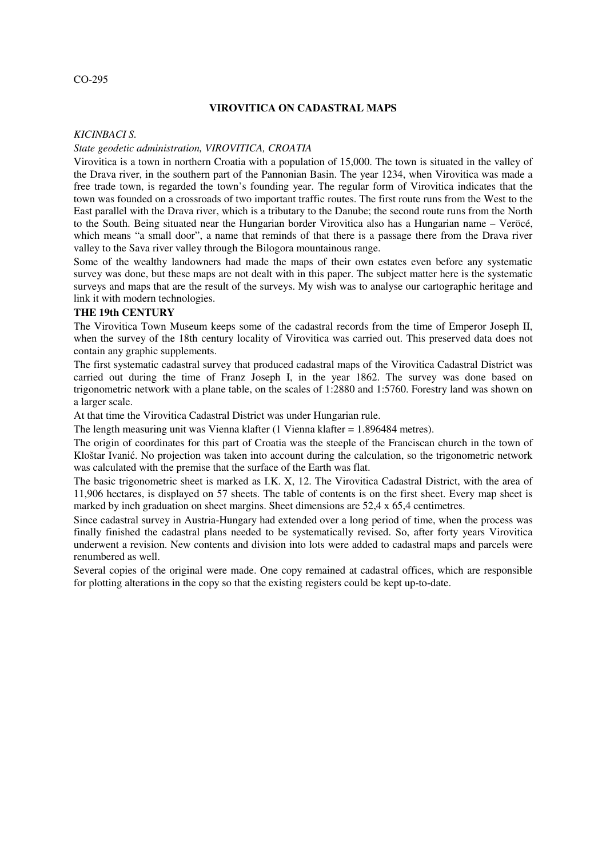## **VIROVITICA ON CADASTRAL MAPS**

#### *KICINBACI S.*

### *State geodetic administration, VIROVITICA, CROATIA*

Virovitica is a town in northern Croatia with a population of 15,000. The town is situated in the valley of the Drava river, in the southern part of the Pannonian Basin. The year 1234, when Virovitica was made a free trade town, is regarded the town's founding year. The regular form of Virovitica indicates that the town was founded on a crossroads of two important traffic routes. The first route runs from the West to the East parallel with the Drava river, which is a tributary to the Danube; the second route runs from the North to the South. Being situated near the Hungarian border Virovitica also has a Hungarian name – Veröcé, which means "a small door", a name that reminds of that there is a passage there from the Drava river valley to the Sava river valley through the Bilogora mountainous range.

Some of the wealthy landowners had made the maps of their own estates even before any systematic survey was done, but these maps are not dealt with in this paper. The subject matter here is the systematic surveys and maps that are the result of the surveys. My wish was to analyse our cartographic heritage and link it with modern technologies.

## **THE 19th CENTURY**

The Virovitica Town Museum keeps some of the cadastral records from the time of Emperor Joseph II, when the survey of the 18th century locality of Virovitica was carried out. This preserved data does not contain any graphic supplements.

The first systematic cadastral survey that produced cadastral maps of the Virovitica Cadastral District was carried out during the time of Franz Joseph I, in the year 1862. The survey was done based on trigonometric network with a plane table, on the scales of 1:2880 and 1:5760. Forestry land was shown on a larger scale.

At that time the Virovitica Cadastral District was under Hungarian rule.

The length measuring unit was Vienna klafter (1 Vienna klafter = 1.896484 metres).

The origin of coordinates for this part of Croatia was the steeple of the Franciscan church in the town of Kloštar Ivanić. No projection was taken into account during the calculation, so the trigonometric network was calculated with the premise that the surface of the Earth was flat.

The basic trigonometric sheet is marked as I.K. X, 12. The Virovitica Cadastral District, with the area of 11,906 hectares, is displayed on 57 sheets. The table of contents is on the first sheet. Every map sheet is marked by inch graduation on sheet margins. Sheet dimensions are 52,4 x 65,4 centimetres.

Since cadastral survey in Austria-Hungary had extended over a long period of time, when the process was finally finished the cadastral plans needed to be systematically revised. So, after forty years Virovitica underwent a revision. New contents and division into lots were added to cadastral maps and parcels were renumbered as well.

Several copies of the original were made. One copy remained at cadastral offices, which are responsible for plotting alterations in the copy so that the existing registers could be kept up-to-date.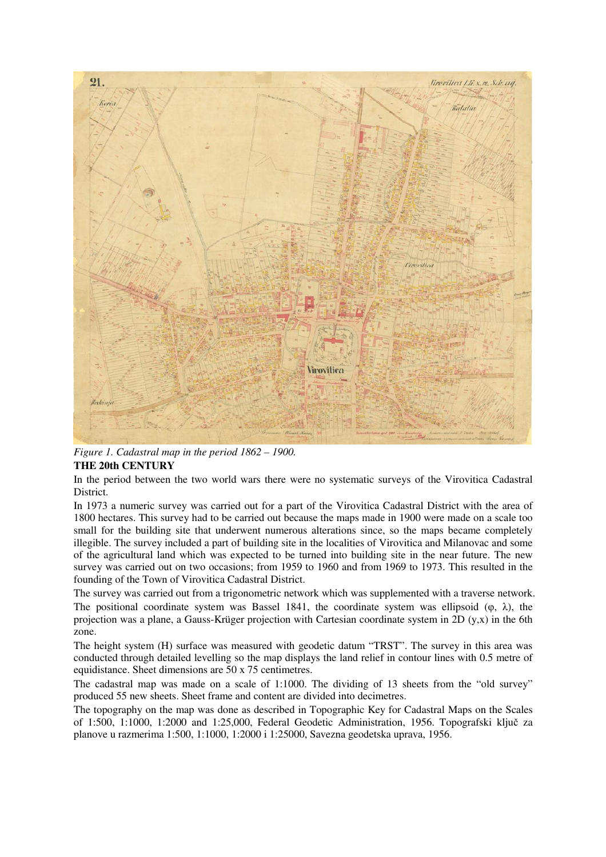

*Figure 1. Cadastral map in the period 1862 – 1900.* **THE 20th CENTURY**

In the period between the two world wars there were no systematic surveys of the Virovitica Cadastral District.

In 1973 a numeric survey was carried out for a part of the Virovitica Cadastral District with the area of 1800 hectares. This survey had to be carried out because the maps made in 1900 were made on a scale too small for the building site that underwent numerous alterations since, so the maps became completely illegible. The survey included a part of building site in the localities of Virovitica and Milanovac and some of the agricultural land which was expected to be turned into building site in the near future. The new survey was carried out on two occasions; from 1959 to 1960 and from 1969 to 1973. This resulted in the founding of the Town of Virovitica Cadastral District.

The survey was carried out from a trigonometric network which was supplemented with a traverse network. The positional coordinate system was Bassel 1841, the coordinate system was ellipsoid ( $\varphi$ ,  $\lambda$ ), the projection was a plane, a Gauss-Krüger projection with Cartesian coordinate system in 2D (y,x) in the 6th zone.

The height system (H) surface was measured with geodetic datum "TRST". The survey in this area was conducted through detailed levelling so the map displays the land relief in contour lines with 0.5 metre of equidistance. Sheet dimensions are 50 x 75 centimetres.

The cadastral map was made on a scale of 1:1000. The dividing of 13 sheets from the "old survey" produced 55 new sheets. Sheet frame and content are divided into decimetres.

The topography on the map was done as described in Topographic Key for Cadastral Maps on the Scales of 1:500, 1:1000, 1:2000 and 1:25,000, Federal Geodetic Administration, 1956. Topografski ključ za planove u razmerima 1:500, 1:1000, 1:2000 i 1:25000, Savezna geodetska uprava, 1956.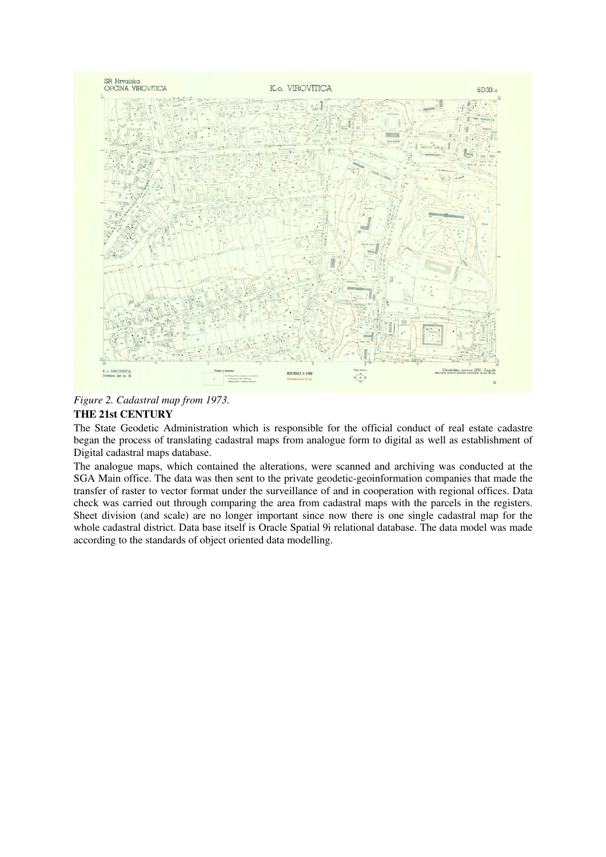

*Figure 2. Cadastral map from 1973.*

# **THE 21st CENTURY**

The State Geodetic Administration which is responsible for the official conduct of real estate cadastre began the process of translating cadastral maps from analogue form to digital as well as establishment of Digital cadastral maps database.

The analogue maps, which contained the alterations, were scanned and archiving was conducted at the SGA Main office. The data was then sent to the private geodetic-geoinformation companies that made the transfer of raster to vector format under the surveillance of and in cooperation with regional offices. Data check was carried out through comparing the area from cadastral maps with the parcels in the registers. Sheet division (and scale) are no longer important since now there is one single cadastral map for the whole cadastral district. Data base itself is Oracle Spatial 9i relational database. The data model was made according to the standards of object oriented data modelling.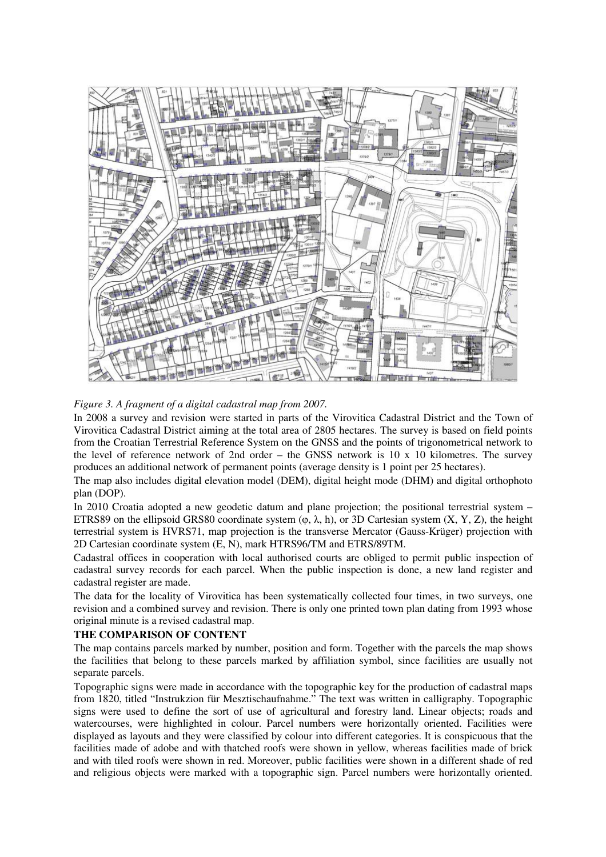

*Figure 3. A fragment of a digital cadastral map from 2007.*

In 2008 a survey and revision were started in parts of the Virovitica Cadastral District and the Town of Virovitica Cadastral District aiming at the total area of 2805 hectares. The survey is based on field points from the Croatian Terrestrial Reference System on the GNSS and the points of trigonometrical network to the level of reference network of 2nd order – the GNSS network is 10 x 10 kilometres. The survey produces an additional network of permanent points (average density is 1 point per 25 hectares).

The map also includes digital elevation model (DEM), digital height mode (DHM) and digital orthophoto plan (DOP).

In 2010 Croatia adopted a new geodetic datum and plane projection; the positional terrestrial system – ETRS89 on the ellipsoid GRS80 coordinate system  $(\varphi, \lambda, h)$ , or 3D Cartesian system  $(X, Y, Z)$ , the height terrestrial system is HVRS71, map projection is the transverse Mercator (Gauss-Krüger) projection with 2D Cartesian coordinate system (E, N), mark HTRS96/TM and ETRS/89TM.

Cadastral offices in cooperation with local authorised courts are obliged to permit public inspection of cadastral survey records for each parcel. When the public inspection is done, a new land register and cadastral register are made.

The data for the locality of Virovitica has been systematically collected four times, in two surveys, one revision and a combined survey and revision. There is only one printed town plan dating from 1993 whose original minute is a revised cadastral map.

# **THE COMPARISON OF CONTENT**

The map contains parcels marked by number, position and form. Together with the parcels the map shows the facilities that belong to these parcels marked by affiliation symbol, since facilities are usually not separate parcels.

Topographic signs were made in accordance with the topographic key for the production of cadastral maps from 1820, titled "Instrukzion für Mesztischaufnahme." The text was written in calligraphy. Topographic signs were used to define the sort of use of agricultural and forestry land. Linear objects; roads and watercourses, were highlighted in colour. Parcel numbers were horizontally oriented. Facilities were displayed as layouts and they were classified by colour into different categories. It is conspicuous that the facilities made of adobe and with thatched roofs were shown in yellow, whereas facilities made of brick and with tiled roofs were shown in red. Moreover, public facilities were shown in a different shade of red and religious objects were marked with a topographic sign. Parcel numbers were horizontally oriented.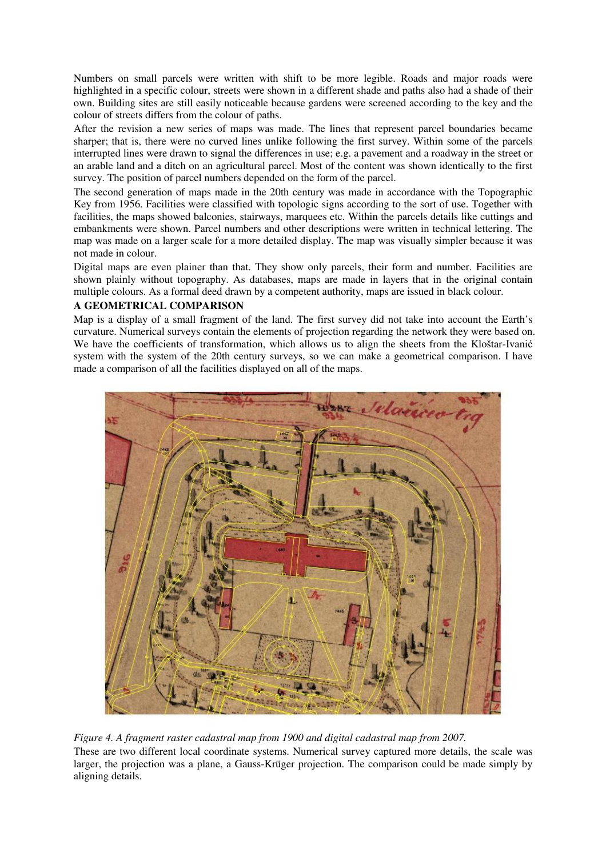Numbers on small parcels were written with shift to be more legible. Roads and major roads were highlighted in a specific colour, streets were shown in a different shade and paths also had a shade of their own. Building sites are still easily noticeable because gardens were screened according to the key and the colour of streets differs from the colour of paths.

After the revision a new series of maps was made. The lines that represent parcel boundaries became sharper; that is, there were no curved lines unlike following the first survey. Within some of the parcels interrupted lines were drawn to signal the differences in use; e.g. a pavement and a roadway in the street or an arable land and a ditch on an agricultural parcel. Most of the content was shown identically to the first survey. The position of parcel numbers depended on the form of the parcel.

The second generation of maps made in the 20th century was made in accordance with the Topographic Key from 1956. Facilities were classified with topologic signs according to the sort of use. Together with facilities, the maps showed balconies, stairways, marquees etc. Within the parcels details like cuttings and embankments were shown. Parcel numbers and other descriptions were written in technical lettering. The map was made on a larger scale for a more detailed display. The map was visually simpler because it was not made in colour.

Digital maps are even plainer than that. They show only parcels, their form and number. Facilities are shown plainly without topography. As databases, maps are made in layers that in the original contain multiple colours. As a formal deed drawn by a competent authority, maps are issued in black colour.

# **A GEOMETRICAL COMPARISON**

Map is a display of a small fragment of the land. The first survey did not take into account the Earth's curvature. Numerical surveys contain the elements of projection regarding the network they were based on. We have the coefficients of transformation, which allows us to align the sheets from the Kloštar-Ivanić system with the system of the 20th century surveys, so we can make a geometrical comparison. I have made a comparison of all the facilities displayed on all of the maps.



*Figure 4. A fragment raster cadastral map from 1900 and digital cadastral map from 2007.* These are two different local coordinate systems. Numerical survey captured more details, the scale was larger, the projection was a plane, a Gauss-Krüger projection. The comparison could be made simply by aligning details.